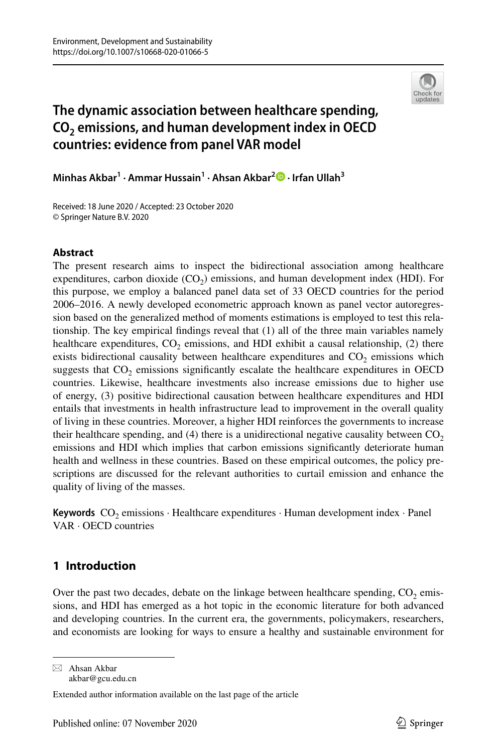

# **The dynamic association between healthcare spending, CO2 emissions, and human development index in OECD countries: evidence from panel VAR model**

**Minhas Akbar1 · Ammar Hussain1 · Ahsan Akbar2 · Irfan Ullah3**

Received: 18 June 2020 / Accepted: 23 October 2020 © Springer Nature B.V. 2020

### **Abstract**

The present research aims to inspect the bidirectional association among healthcare expenditures, carbon dioxide  $(CO<sub>2</sub>)$  emissions, and human development index (HDI). For this purpose, we employ a balanced panel data set of 33 OECD countries for the period 2006–2016. A newly developed econometric approach known as panel vector autoregression based on the generalized method of moments estimations is employed to test this relationship. The key empirical fndings reveal that (1) all of the three main variables namely healthcare expenditures,  $CO<sub>2</sub>$  emissions, and HDI exhibit a causal relationship, (2) there exists bidirectional causality between healthcare expenditures and  $CO<sub>2</sub>$  emissions which suggests that  $CO<sub>2</sub>$  emissions significantly escalate the healthcare expenditures in OECD countries. Likewise, healthcare investments also increase emissions due to higher use of energy, (3) positive bidirectional causation between healthcare expenditures and HDI entails that investments in health infrastructure lead to improvement in the overall quality of living in these countries. Moreover, a higher HDI reinforces the governments to increase their healthcare spending, and (4) there is a unidirectional negative causality between  $CO<sub>2</sub>$ emissions and HDI which implies that carbon emissions signifcantly deteriorate human health and wellness in these countries. Based on these empirical outcomes, the policy prescriptions are discussed for the relevant authorities to curtail emission and enhance the quality of living of the masses.

**Keywords**  $CO<sub>2</sub>$  emissions  $\cdot$  Healthcare expenditures  $\cdot$  Human development index  $\cdot$  Panel VAR · OECD countries

## <span id="page-0-0"></span>**1 Introduction**

Over the past two decades, debate on the linkage between healthcare spending,  $CO<sub>2</sub>$  emissions, and HDI has emerged as a hot topic in the economic literature for both advanced and developing countries. In the current era, the governments, policymakers, researchers, and economists are looking for ways to ensure a healthy and sustainable environment for

 $\boxtimes$  Ahsan Akbar akbar@gcu.edu.cn

Extended author information available on the last page of the article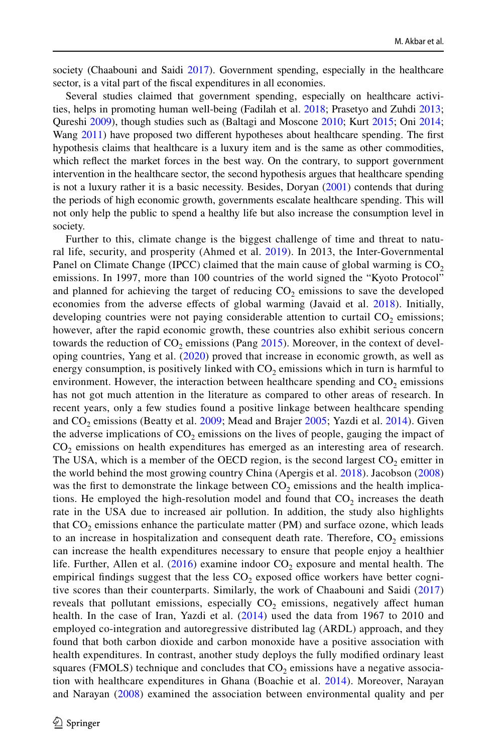society (Chaabouni and Saidi [2017\)](#page-17-0). Government spending, especially in the healthcare sector, is a vital part of the fscal expenditures in all economies.

Several studies claimed that government spending, especially on healthcare activities, helps in promoting human well-being (Fadilah et al. [2018;](#page-17-1) Prasetyo and Zuhdi [2013;](#page-18-0) Qureshi [2009\)](#page-18-1), though studies such as (Baltagi and Moscone [2010](#page-16-0); Kurt [2015](#page-17-2); Oni [2014;](#page-18-2) Wang [2011](#page-18-3)) have proposed two different hypotheses about healthcare spending. The first hypothesis claims that healthcare is a luxury item and is the same as other commodities, which refect the market forces in the best way. On the contrary, to support government intervention in the healthcare sector, the second hypothesis argues that healthcare spending is not a luxury rather it is a basic necessity. Besides, Doryan [\(2001](#page-17-3)) contends that during the periods of high economic growth, governments escalate healthcare spending. This will not only help the public to spend a healthy life but also increase the consumption level in society.

Further to this, climate change is the biggest challenge of time and threat to natural life, security, and prosperity (Ahmed et al. [2019](#page-16-1)). In 2013, the Inter-Governmental Panel on Climate Change (IPCC) claimed that the main cause of global warming is  $CO<sub>2</sub>$ emissions. In 1997, more than 100 countries of the world signed the "Kyoto Protocol" and planned for achieving the target of reducing  $CO<sub>2</sub>$  emissions to save the developed economies from the adverse efects of global warming (Javaid et al. [2018\)](#page-17-4). Initially, developing countries were not paying considerable attention to curtail  $CO<sub>2</sub>$  emissions; however, after the rapid economic growth, these countries also exhibit serious concern towards the reduction of  $CO<sub>2</sub>$  emissions (Pang [2015](#page-18-4)). Moreover, in the context of developing countries, Yang et al. ([2020\)](#page-18-5) proved that increase in economic growth, as well as energy consumption, is positively linked with  $CO<sub>2</sub>$  emissions which in turn is harmful to environment. However, the interaction between healthcare spending and  $CO<sub>2</sub>$  emissions has not got much attention in the literature as compared to other areas of research. In recent years, only a few studies found a positive linkage between healthcare spending and  $CO<sub>2</sub>$  emissions (Beatty et al. [2009](#page-16-0); Mead and Brajer [2005](#page-17-5); Yazdi et al. [2014\)](#page-18-6). Given the adverse implications of  $CO<sub>2</sub>$  emissions on the lives of people, gauging the impact of  $CO<sub>2</sub>$  emissions on health expenditures has emerged as an interesting area of research. The USA, which is a member of the OECD region, is the second largest  $CO<sub>2</sub>$  emitter in the world behind the most growing country China (Apergis et al. [2018](#page-16-2)). Jacobson ([2008](#page-17-6)) was the first to demonstrate the linkage between  $CO<sub>2</sub>$  emissions and the health implications. He employed the high-resolution model and found that  $CO<sub>2</sub>$  increases the death rate in the USA due to increased air pollution. In addition, the study also highlights that  $CO<sub>2</sub>$  emissions enhance the particulate matter (PM) and surface ozone, which leads to an increase in hospitalization and consequent death rate. Therefore,  $CO<sub>2</sub>$  emissions can increase the health expenditures necessary to ensure that people enjoy a healthier life. Further, Allen et al.  $(2016)$  examine indoor  $CO<sub>2</sub>$  exposure and mental health. The empirical findings suggest that the less  $CO<sub>2</sub>$  exposed office workers have better cognitive scores than their counterparts. Similarly, the work of Chaabouni and Saidi ([2017](#page-17-0)) reveals that pollutant emissions, especially  $CO<sub>2</sub>$  emissions, negatively affect human health. In the case of Iran, Yazdi et al.  $(2014)$  $(2014)$  used the data from 1967 to 2010 and employed co-integration and autoregressive distributed lag (ARDL) approach, and they found that both carbon dioxide and carbon monoxide have a positive association with health expenditures. In contrast, another study deploys the fully modifed ordinary least squares (FMOLS) technique and concludes that  $CO<sub>2</sub>$  emissions have a negative association with healthcare expenditures in Ghana (Boachie et al. [2014\)](#page-17-7). Moreover, Narayan and Narayan [\(2008\)](#page-18-7) examined the association between environmental quality and per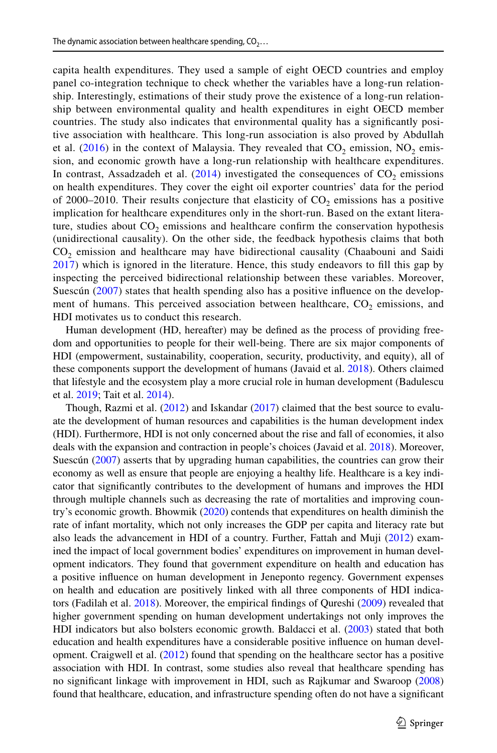capita health expenditures. They used a sample of eight OECD countries and employ panel co-integration technique to check whether the variables have a long-run relationship. Interestingly, estimations of their study prove the existence of a long-run relationship between environmental quality and health expenditures in eight OECD member countries. The study also indicates that environmental quality has a signifcantly positive association with healthcare. This long-run association is also proved by Abdullah et al. ([2016](#page-16-4)) in the context of Malaysia. They revealed that  $CO<sub>2</sub>$  emission, NO<sub>2</sub> emission, and economic growth have a long-run relationship with healthcare expenditures. In contrast, Assadzadeh et al.  $(2014)$  $(2014)$  $(2014)$  investigated the consequences of CO<sub>2</sub> emissions on health expenditures. They cover the eight oil exporter countries' data for the period of 2000–2010. Their results conjecture that elasticity of  $CO<sub>2</sub>$  emissions has a positive implication for healthcare expenditures only in the short-run. Based on the extant literature, studies about  $CO<sub>2</sub>$  emissions and healthcare confirm the conservation hypothesis (unidirectional causality). On the other side, the feedback hypothesis claims that both CO2 emission and healthcare may have bidirectional causality (Chaabouni and Saidi [2017](#page-17-0)) which is ignored in the literature. Hence, this study endeavors to fll this gap by inspecting the perceived bidirectional relationship between these variables. Moreover, Suescún [\(2007\)](#page-18-8) states that health spending also has a positive infuence on the development of humans. This perceived association between healthcare,  $CO<sub>2</sub>$  emissions, and HDI motivates us to conduct this research.

Human development (HD, hereafter) may be defned as the process of providing freedom and opportunities to people for their well-being. There are six major components of HDI (empowerment, sustainability, cooperation, security, productivity, and equity), all of these components support the development of humans (Javaid et al. [2018](#page-17-4)). Others claimed that lifestyle and the ecosystem play a more crucial role in human development (Badulescu et al. [2019;](#page-16-6) Tait et al. [2014\)](#page-18-9).

Though, Razmi et al. ([2012\)](#page-18-10) and Iskandar ([2017\)](#page-17-8) claimed that the best source to evaluate the development of human resources and capabilities is the human development index (HDI). Furthermore, HDI is not only concerned about the rise and fall of economies, it also deals with the expansion and contraction in people's choices (Javaid et al. [2018\)](#page-17-4). Moreover, Suescún [\(2007](#page-18-8)) asserts that by upgrading human capabilities, the countries can grow their economy as well as ensure that people are enjoying a healthy life. Healthcare is a key indicator that signifcantly contributes to the development of humans and improves the HDI through multiple channels such as decreasing the rate of mortalities and improving country's economic growth. Bhowmik ([2020\)](#page-16-7) contends that expenditures on health diminish the rate of infant mortality, which not only increases the GDP per capita and literacy rate but also leads the advancement in HDI of a country. Further, Fattah and Muji ([2012\)](#page-17-9) examined the impact of local government bodies' expenditures on improvement in human development indicators. They found that government expenditure on health and education has a positive infuence on human development in Jeneponto regency. Government expenses on health and education are positively linked with all three components of HDI indicators (Fadilah et al. [2018\)](#page-17-1). Moreover, the empirical fndings of Qureshi [\(2009](#page-18-1)) revealed that higher government spending on human development undertakings not only improves the HDI indicators but also bolsters economic growth. Baldacci et al. ([2003\)](#page-16-8) stated that both education and health expenditures have a considerable positive infuence on human development. Craigwell et al. [\(2012](#page-17-10)) found that spending on the healthcare sector has a positive association with HDI. In contrast, some studies also reveal that healthcare spending has no signifcant linkage with improvement in HDI, such as Rajkumar and Swaroop [\(2008](#page-18-11)) found that healthcare, education, and infrastructure spending often do not have a signifcant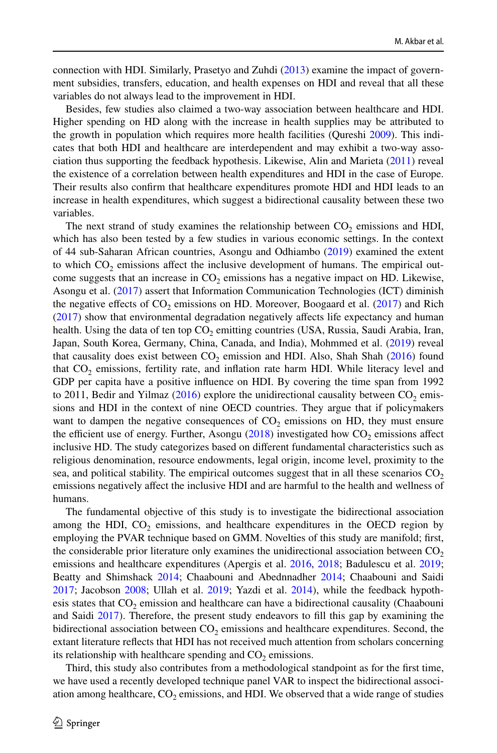connection with HDI. Similarly, Prasetyo and Zuhdi [\(2013](#page-18-0)) examine the impact of government subsidies, transfers, education, and health expenses on HDI and reveal that all these variables do not always lead to the improvement in HDI.

Besides, few studies also claimed a two-way association between healthcare and HDI. Higher spending on HD along with the increase in health supplies may be attributed to the growth in population which requires more health facilities (Qureshi [2009\)](#page-18-1). This indicates that both HDI and healthcare are interdependent and may exhibit a two-way association thus supporting the feedback hypothesis. Likewise, Alin and Marieta ([2011\)](#page-16-9) reveal the existence of a correlation between health expenditures and HDI in the case of Europe. Their results also confrm that healthcare expenditures promote HDI and HDI leads to an increase in health expenditures, which suggest a bidirectional causality between these two variables.

The next strand of study examines the relationship between  $CO<sub>2</sub>$  emissions and HDI, which has also been tested by a few studies in various economic settings. In the context of 44 sub-Saharan African countries, Asongu and Odhiambo ([2019\)](#page-16-10) examined the extent to which  $CO<sub>2</sub>$  emissions affect the inclusive development of humans. The empirical outcome suggests that an increase in  $CO<sub>2</sub>$  emissions has a negative impact on HD. Likewise, Asongu et al. ([2017\)](#page-16-11) assert that Information Communication Technologies (ICT) diminish the negative effects of  $CO<sub>2</sub>$  emissions on HD. Moreover, Boogaard et al. [\(2017](#page-17-11)) and Rich ([2017\)](#page-18-12) show that environmental degradation negatively afects life expectancy and human health. Using the data of ten top  $CO<sub>2</sub>$  emitting countries (USA, Russia, Saudi Arabia, Iran, Japan, South Korea, Germany, China, Canada, and India), Mohmmed et al. ([2019\)](#page-17-12) reveal that causality does exist between  $CO<sub>2</sub>$  emission and HDI. Also, Shah Shah [\(2016](#page-18-13)) found that  $CO<sub>2</sub>$  emissions, fertility rate, and inflation rate harm HDI. While literacy level and GDP per capita have a positive infuence on HDI. By covering the time span from 1992 to 2011, Bedir and Yilmaz [\(2016](#page-16-12)) explore the unidirectional causality between  $CO<sub>2</sub>$  emissions and HDI in the context of nine OECD countries. They argue that if policymakers want to dampen the negative consequences of  $CO<sub>2</sub>$  emissions on HD, they must ensure the efficient use of energy. Further, Asongu  $(2018)$  $(2018)$  investigated how  $CO<sub>2</sub>$  emissions affect inclusive HD. The study categorizes based on diferent fundamental characteristics such as religious denomination, resource endowments, legal origin, income level, proximity to the sea, and political stability. The empirical outcomes suggest that in all these scenarios  $CO<sub>2</sub>$ emissions negatively afect the inclusive HDI and are harmful to the health and wellness of humans.

The fundamental objective of this study is to investigate the bidirectional association among the HDI,  $CO<sub>2</sub>$  emissions, and healthcare expenditures in the OECD region by employing the PVAR technique based on GMM. Novelties of this study are manifold; frst, the considerable prior literature only examines the unidirectional association between  $CO<sub>2</sub>$ emissions and healthcare expenditures (Apergis et al. [2016,](#page-16-14) [2018](#page-16-2); Badulescu et al. [2019;](#page-16-6) Beatty and Shimshack [2014](#page-16-15); Chaabouni and Abednnadher [2014;](#page-17-13) Chaabouni and Saidi [2017;](#page-17-0) Jacobson [2008](#page-17-6); Ullah et al. [2019;](#page-18-14) Yazdi et al. [2014\)](#page-18-6), while the feedback hypothesis states that  $CO<sub>2</sub>$  emission and healthcare can have a bidirectional causality (Chaabouni and Saidi [2017](#page-17-0)). Therefore, the present study endeavors to fll this gap by examining the bidirectional association between  $CO<sub>2</sub>$  emissions and healthcare expenditures. Second, the extant literature refects that HDI has not received much attention from scholars concerning its relationship with healthcare spending and  $CO<sub>2</sub>$  emissions.

Third, this study also contributes from a methodological standpoint as for the frst time, we have used a recently developed technique panel VAR to inspect the bidirectional association among healthcare,  $CO_2$  emissions, and HDI. We observed that a wide range of studies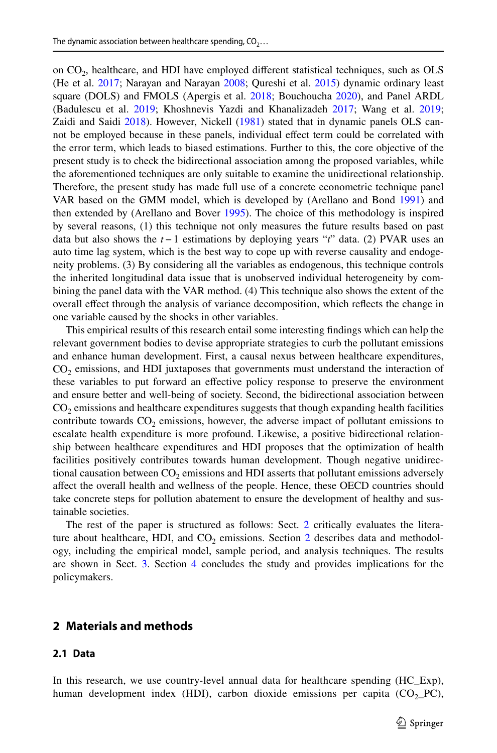on  $CO<sub>2</sub>$ , healthcare, and HDI have employed different statistical techniques, such as OLS (He et al. [2017;](#page-17-14) Narayan and Narayan [2008;](#page-18-7) Qureshi et al. [2015](#page-18-15)) dynamic ordinary least square (DOLS) and FMOLS (Apergis et al. [2018](#page-16-2); Bouchoucha [2020](#page-17-15)), and Panel ARDL (Badulescu et al. [2019](#page-16-6); Khoshnevis Yazdi and Khanalizadeh [2017](#page-17-16); Wang et al. [2019](#page-18-16); Zaidi and Saidi [2018](#page-18-17)). However, Nickell ([1981\)](#page-18-18) stated that in dynamic panels OLS cannot be employed because in these panels, individual efect term could be correlated with the error term, which leads to biased estimations. Further to this, the core objective of the present study is to check the bidirectional association among the proposed variables, while the aforementioned techniques are only suitable to examine the unidirectional relationship. Therefore, the present study has made full use of a concrete econometric technique panel VAR based on the GMM model, which is developed by (Arellano and Bond [1991](#page-16-16)) and then extended by (Arellano and Bover [1995](#page-16-17)). The choice of this methodology is inspired by several reasons, (1) this technique not only measures the future results based on past data but also shows the *t−*1 estimations by deploying years "*t*" data. (2) PVAR uses an auto time lag system, which is the best way to cope up with reverse causality and endogeneity problems. (3) By considering all the variables as endogenous, this technique controls the inherited longitudinal data issue that is unobserved individual heterogeneity by combining the panel data with the VAR method. (4) This technique also shows the extent of the overall efect through the analysis of variance decomposition, which refects the change in one variable caused by the shocks in other variables.

This empirical results of this research entail some interesting fndings which can help the relevant government bodies to devise appropriate strategies to curb the pollutant emissions and enhance human development. First, a causal nexus between healthcare expenditures,  $CO<sub>2</sub>$  emissions, and HDI juxtaposes that governments must understand the interaction of these variables to put forward an efective policy response to preserve the environment and ensure better and well-being of society. Second, the bidirectional association between  $CO<sub>2</sub>$  emissions and healthcare expenditures suggests that though expanding health facilities contribute towards  $CO<sub>2</sub>$  emissions, however, the adverse impact of pollutant emissions to escalate health expenditure is more profound. Likewise, a positive bidirectional relationship between healthcare expenditures and HDI proposes that the optimization of health facilities positively contributes towards human development. Though negative unidirectional causation between  $CO<sub>2</sub>$  emissions and HDI asserts that pollutant emissions adversely afect the overall health and wellness of the people. Hence, these OECD countries should take concrete steps for pollution abatement to ensure the development of healthy and sustainable societies.

The rest of the paper is structured as follows: Sect. [2](#page-0-0) critically evaluates the literature about healthcare, HDI, and  $CO<sub>2</sub>$  $CO<sub>2</sub>$  $CO<sub>2</sub>$  emissions. Section 2 describes data and methodology, including the empirical model, sample period, and analysis techniques. The results are shown in Sect. [3](#page-4-0). Section [4](#page-7-0) concludes the study and provides implications for the policymakers.

### <span id="page-4-0"></span>**2 Materials and methods**

#### **2.1 Data**

In this research, we use country-level annual data for healthcare spending (HC\_Exp), human development index (HDI), carbon dioxide emissions per capita  $(CO<sub>2</sub>-PC)$ ,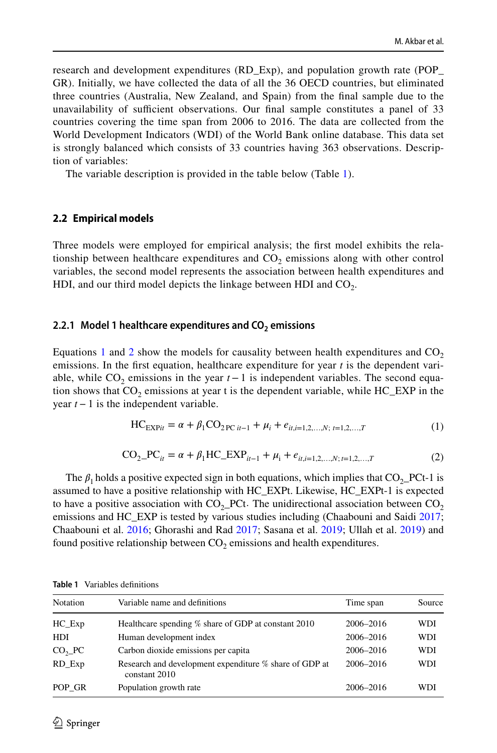research and development expenditures (RD\_Exp), and population growth rate (POP\_ GR). Initially, we have collected the data of all the 36 OECD countries, but eliminated three countries (Australia, New Zealand, and Spain) from the fnal sample due to the unavailability of sufficient observations. Our final sample constitutes a panel of 33 countries covering the time span from 2006 to 2016. The data are collected from the World Development Indicators (WDI) of the World Bank online database. This data set is strongly balanced which consists of 33 countries having 363 observations. Description of variables:

The variable description is provided in the table below (Table [1\)](#page-5-0).

#### **2.2 Empirical models**

Three models were employed for empirical analysis; the frst model exhibits the relationship between healthcare expenditures and  $CO<sub>2</sub>$  emissions along with other control variables, the second model represents the association between health expenditures and HDI, and our third model depicts the linkage between HDI and  $CO<sub>2</sub>$ .

#### **2.2.1 Model 1 healthcare expenditures and CO<sub>2</sub> emissions**

Equations [1](#page-5-1) and [2](#page-5-2) show the models for causality between health expenditures and  $CO<sub>2</sub>$ emissions. In the frst equation, healthcare expenditure for year *t* is the dependent variable, while  $CO<sub>2</sub>$  emissions in the year  $t-1$  is independent variables. The second equation shows that  $CO<sub>2</sub>$  emissions at year t is the dependent variable, while  $HC\_EXP$  in the year *t−*1 is the independent variable.

<span id="page-5-2"></span><span id="page-5-1"></span>
$$
HC_{EXPit} = \alpha + \beta_1 CO_{2PC it-1} + \mu_i + e_{it,i=1,2,...,N;\ t=1,2,...,T}
$$
 (1)

$$
CO_{2-}PC_{it} = \alpha + \beta_1 HC\_EXP_{it-1} + \mu_i + e_{it,i=1,2,...,N;t=1,2,...,T}
$$
 (2)

The  $\beta_1$  holds a positive expected sign in both equations, which implies that  $CO_2$ -PCt-1 is assumed to have a positive relationship with HC\_EXPt. Likewise, HC\_EXPt-1 is expected to have a positive association with  $CO<sub>2</sub>$ -PCt. The unidirectional association between  $CO<sub>2</sub>$ emissions and HC\_EXP is tested by various studies including (Chaabouni and Saidi [2017;](#page-17-0) Chaabouni et al. [2016](#page-17-17); Ghorashi and Rad [2017;](#page-17-18) Sasana et al. [2019](#page-18-19); Ullah et al. [2019\)](#page-18-14) and found positive relationship between  $CO<sub>2</sub>$  emissions and health expenditures.

| Notation           | Variable name and definitions                                           | Time span | Source     |
|--------------------|-------------------------------------------------------------------------|-----------|------------|
| $HC$ $Exp$         | Healthcare spending % share of GDP at constant 2010                     | 2006-2016 | WDI        |
| <b>HDI</b>         | Human development index                                                 | 2006-2016 | <b>WDI</b> |
| CO <sub>2</sub> PC | Carbon dioxide emissions per capita                                     | 2006-2016 | <b>WDI</b> |
| RD Exp             | Research and development expenditure % share of GDP at<br>constant 2010 | 2006-2016 | <b>WDI</b> |
| POP GR             | Population growth rate                                                  | 2006-2016 | WDI        |

<span id="page-5-0"></span>**Table 1** Variables defnitions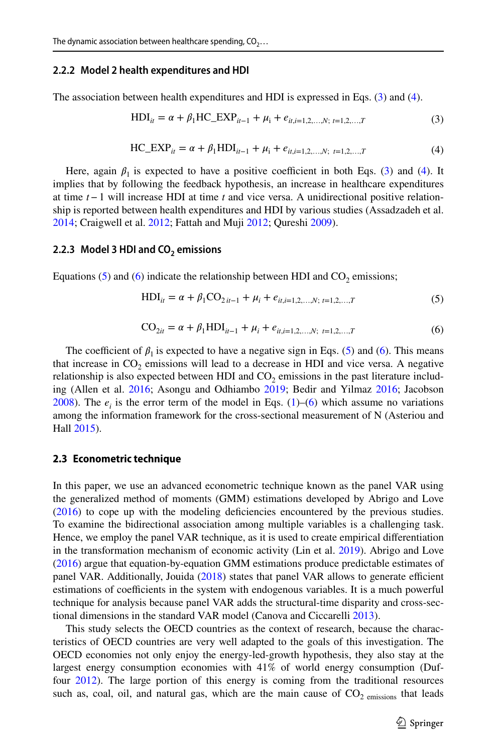#### **2.2.2 Model 2 health expenditures and HDI**

The association between health expenditures and HDI is expressed in Eqs. [\(3](#page-6-0)) and ([4\)](#page-6-1).

<span id="page-6-1"></span><span id="page-6-0"></span>
$$
HDI_{it} = \alpha + \beta_1 HC\_EXP_{it-1} + \mu_i + e_{it,i=1,2,...,N;\ t=1,2,...,T}
$$
 (3)

$$
HC\_EXP_{it} = \alpha + \beta_1 HDI_{it-1} + \mu_i + e_{it,i=1,2,...,N; t=1,2,...,T}
$$
 (4)

Here, again  $\beta_1$  is expected to have a positive coefficient in both Eqs. ([3\)](#page-6-0) and ([4](#page-6-1)). It implies that by following the feedback hypothesis, an increase in healthcare expenditures at time *t−*1 will increase HDI at time *t* and vice versa. A unidirectional positive relationship is reported between health expenditures and HDI by various studies (Assadzadeh et al. [2014;](#page-16-5) Craigwell et al. [2012](#page-17-10); Fattah and Muji [2012](#page-17-9); Qureshi [2009\)](#page-18-1).

#### **2.2.3 Model 3 HDI and CO<sub>2</sub> emissions**

Equations [\(5\)](#page-6-2) and ([6](#page-6-3)) indicate the relationship between HDI and  $CO<sub>2</sub>$  emissions;

<span id="page-6-3"></span><span id="page-6-2"></span>
$$
HDI_{it} = \alpha + \beta_1 CO_{2it-1} + \mu_i + e_{it,i=1,2,...,N;\ t=1,2,...,T}
$$
 (5)

$$
CO_{2it} = \alpha + \beta_1 HDI_{it-1} + \mu_i + e_{it,i=1,2,...,N; t=1,2,...,T}
$$
 (6)

The coefficient of  $\beta_1$  is expected to have a negative sign in Eqs. ([5](#page-6-2)) and ([6\)](#page-6-3). This means that increase in  $CO<sub>2</sub>$  emissions will lead to a decrease in HDI and vice versa. A negative relationship is also expected between HDI and  $CO<sub>2</sub>$  emissions in the past literature includ-ing (Allen et al. [2016;](#page-16-12) Asongu and Odhiambo [2019;](#page-16-10) Bedir and Yilmaz 2016; Jacobson [2008\)](#page-17-6). The  $e_i$  is the error term of the model in Eqs. [\(1](#page-5-1))–[\(6\)](#page-6-3) which assume no variations among the information framework for the cross-sectional measurement of N (Asteriou and Hall [2015\)](#page-16-18).

#### **2.3 Econometric technique**

In this paper, we use an advanced econometric technique known as the panel VAR using the generalized method of moments (GMM) estimations developed by Abrigo and Love ([2016\)](#page-16-19) to cope up with the modeling defciencies encountered by the previous studies. To examine the bidirectional association among multiple variables is a challenging task. Hence, we employ the panel VAR technique, as it is used to create empirical diferentiation in the transformation mechanism of economic activity (Lin et al. [2019\)](#page-17-19). Abrigo and Love ([2016\)](#page-16-19) argue that equation-by-equation GMM estimations produce predictable estimates of panel VAR. Additionally, Jouida ([2018\)](#page-17-20) states that panel VAR allows to generate efficient estimations of coefficients in the system with endogenous variables. It is a much powerful technique for analysis because panel VAR adds the structural-time disparity and cross-sectional dimensions in the standard VAR model (Canova and Ciccarelli [2013](#page-17-21)).

This study selects the OECD countries as the context of research, because the characteristics of OECD countries are very well adapted to the goals of this investigation. The OECD economies not only enjoy the energy-led-growth hypothesis, they also stay at the largest energy consumption economies with 41% of world energy consumption (Duffour [2012\)](#page-17-22). The large portion of this energy is coming from the traditional resources such as, coal, oil, and natural gas, which are the main cause of  $CO<sub>2</sub>$  emissions that leads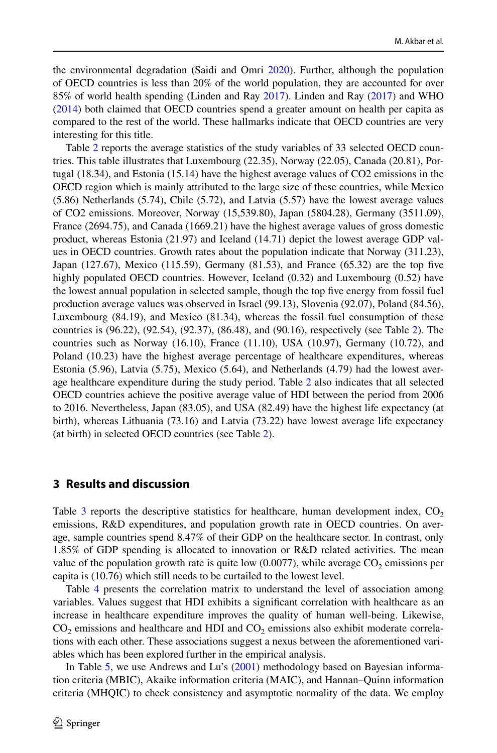the environmental degradation (Saidi and Omri [2020](#page-18-20)). Further, although the population of OECD countries is less than 20% of the world population, they are accounted for over 85% of world health spending (Linden and Ray [2017](#page-17-23)). Linden and Ray [\(2017](#page-17-23)) and WHO ([2014\)](#page-18-21) both claimed that OECD countries spend a greater amount on health per capita as compared to the rest of the world. These hallmarks indicate that OECD countries are very interesting for this title.

Table [2](#page-8-0) reports the average statistics of the study variables of 33 selected OECD countries. This table illustrates that Luxembourg (22.35), Norway (22.05), Canada (20.81), Portugal (18.34), and Estonia (15.14) have the highest average values of CO2 emissions in the OECD region which is mainly attributed to the large size of these countries, while Mexico (5.86) Netherlands (5.74), Chile (5.72), and Latvia (5.57) have the lowest average values of CO2 emissions. Moreover, Norway (15,539.80), Japan (5804.28), Germany (3511.09), France (2694.75), and Canada (1669.21) have the highest average values of gross domestic product, whereas Estonia (21.97) and Iceland (14.71) depict the lowest average GDP values in OECD countries. Growth rates about the population indicate that Norway (311.23), Japan (127.67), Mexico (115.59), Germany (81.53), and France (65.32) are the top fve highly populated OECD countries. However, Iceland (0.32) and Luxembourg (0.52) have the lowest annual population in selected sample, though the top fve energy from fossil fuel production average values was observed in Israel (99.13), Slovenia (92.07), Poland (84.56), Luxembourg (84.19), and Mexico (81.34), whereas the fossil fuel consumption of these countries is (96.22), (92.54), (92.37), (86.48), and (90.16), respectively (see Table [2\)](#page-8-0). The countries such as Norway  $(16.10)$ , France  $(11.10)$ , USA  $(10.97)$ , Germany  $(10.72)$ , and Poland (10.23) have the highest average percentage of healthcare expenditures, whereas Estonia (5.96), Latvia (5.75), Mexico (5.64), and Netherlands (4.79) had the lowest average healthcare expenditure during the study period. Table [2](#page-8-0) also indicates that all selected OECD countries achieve the positive average value of HDI between the period from 2006 to 2016. Nevertheless, Japan (83.05), and USA (82.49) have the highest life expectancy (at birth), whereas Lithuania (73.16) and Latvia (73.22) have lowest average life expectancy (at birth) in selected OECD countries (see Table [2](#page-8-0)).

### <span id="page-7-0"></span>**3 Results and discussion**

Table [3](#page-10-0) reports the descriptive statistics for healthcare, human development index,  $CO<sub>2</sub>$ emissions, R&D expenditures, and population growth rate in OECD countries. On average, sample countries spend 8.47% of their GDP on the healthcare sector. In contrast, only 1.85% of GDP spending is allocated to innovation or R&D related activities. The mean value of the population growth rate is quite low  $(0.0077)$ , while average  $CO<sub>2</sub>$  emissions per capita is (10.76) which still needs to be curtailed to the lowest level.

Table [4](#page-10-1) presents the correlation matrix to understand the level of association among variables. Values suggest that HDI exhibits a signifcant correlation with healthcare as an increase in healthcare expenditure improves the quality of human well-being. Likewise,  $CO<sub>2</sub>$  emissions and healthcare and HDI and  $CO<sub>2</sub>$  emissions also exhibit moderate correlations with each other. These associations suggest a nexus between the aforementioned variables which has been explored further in the empirical analysis.

In Table [5,](#page-10-2) we use Andrews and Lu's ([2001\)](#page-16-20) methodology based on Bayesian information criteria (MBIC), Akaike information criteria (MAIC), and Hannan–Quinn information criteria (MHQIC) to check consistency and asymptotic normality of the data. We employ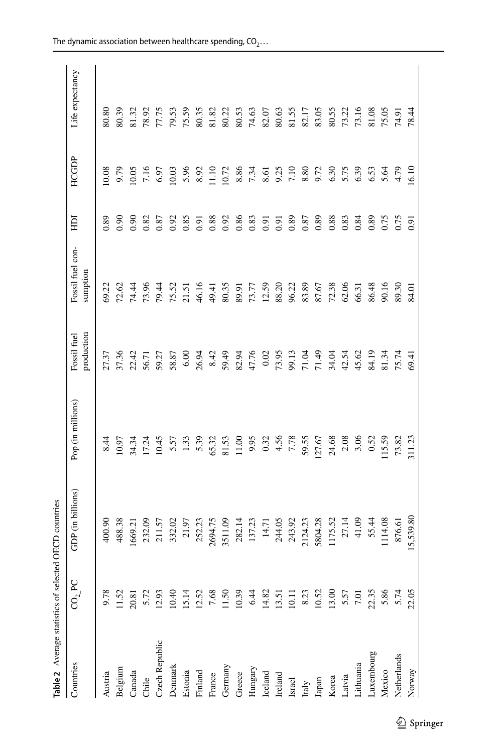<span id="page-8-0"></span>

| í      |  |
|--------|--|
| ļ<br>i |  |
| I      |  |
| Ì<br>I |  |
| ۱<br>Ī |  |
| ۱      |  |
| t      |  |

| Table 2 Average statistics of selected |                    | <b>OECD</b> countries |                   |                           |                              |                   |              |                         |
|----------------------------------------|--------------------|-----------------------|-------------------|---------------------------|------------------------------|-------------------|--------------|-------------------------|
| Countries                              | CO <sub>2</sub> PC | GDP (in billions)     | Pop (in millions) | production<br>Fossil fuel | Fossil fuel con-<br>sumption | 巨                 | <b>HCGDP</b> | Life expectancy         |
| Austria                                | 9.78               | 400.90                | 8.44              | 27.37                     | 69.22                        | 0.89              | 10.08        | 80.80                   |
| Belgium                                | 11.52              | 488.38                | 10.97             | 37.36                     | 72.62                        | 0.90              | 9.79         | 80.39                   |
| Canada                                 | 20.81              | 1669.21               | 34.34             | 22.42                     | 74.44                        | 0.90              | 10.05        | 81.32                   |
| Chile                                  | 5.72               |                       | 17.24             | 56.71                     | 73.96                        | 0.82              | 7.16         |                         |
| Czech Republic                         | 12.93              | 232.09<br>211.57      | 10.45             | 59.27                     | 79.44                        | 0.87              | 6.97         | 78.92<br>77.75          |
| Denmark                                | 10.40              | 332.02                | 5.57              | 58.87                     | 75.52                        | 0.92              | 10.03        |                         |
| Estonia                                | 15.14              | 21.97                 | 1.33              | 6.00                      | 21.51                        | 0.85              | 5.96         | 79.53<br>75.59<br>80.35 |
| Finland                                | 12.52              | 252.23                | 5.39              | 26.94                     | 46.16                        | 0.91              | 8.92         |                         |
| France                                 | 7.68               | 2694.75               | 65.32             | 8.42                      | 49.41                        | 0.88              | 11.10        | 81.82                   |
| Germany                                | 11.50              | 3511.09               | 81.53             | 59.49                     | 80.35                        | 0.92              | 10.72        | 80.22                   |
| Greece                                 | 10.39              | 282.14                | 11.00             | 82.94                     | 89.91                        | 0.86              | 8.86         | 80.53                   |
| Hungary                                | 6.44               | 137.23                | 9.95              | 47.76                     | 73.77                        | 0.83              | 7.34         | 74.63                   |
| Iceland                                | 14.82              | 14.71                 | 0.32              | 0.02                      | 12.59                        | 0.91              | 8.61         | 82.07                   |
| Ireland                                | 13.51              | 244.05                | 4.56              | 73.95                     | 88.20                        | $\overline{0.91}$ | 9.25         | 80.63                   |
| Israel                                 | 10.11              | 243.92                | 7.78              | 99.13                     | 96.22                        | 0.89              | 7.10         |                         |
| Italy                                  | 8.23               | 2124.23               | 59.55             | 71.04                     | 83.89                        | 0.87              | 8.80         | 81.55<br>82.17<br>83.05 |
| Japan                                  | 10.52              | 5804.28               | 127.67            | 71.49                     | 87.67                        | 0.89              | 9.72         |                         |
| Korea                                  | 13.00              | 1175.52               | 24.68             | 34.04                     | 72.38                        | 0.88              | 6.30         |                         |
| Latvia                                 | 5.57               | 27.14                 | 2.08              | 42.54                     | 62.06                        | 0.83              | 5.75         | 80.55<br>73.22<br>73.16 |
| Lithuania                              | 7.01               | 41.09                 | 3.06              | 45.62                     | 66.31                        | 0.84              | 6.39         |                         |
| Luxembourg                             | 22.35              | 55.44                 | 0.52              | 84.19                     | 86.48                        | 0.89              | 6.53         | 81.08                   |
| Mexico                                 | 5.86               | 1114.08               | 115.59            | 81.34                     | 90.16                        | 0.75              | 5.64         | 75.05                   |
| Netherlands                            | 5.74               | 876.61                | 73.82             | 75.74                     | 89.30                        | 0.75              | 4.79         | 74.91                   |
| Norway                                 | 22.05              | 15,539.80             | 311.23            | 69.41                     | 84.01                        | 5.91              | 6.10         | 78.44                   |
|                                        |                    |                       |                   |                           |                              |                   |              |                         |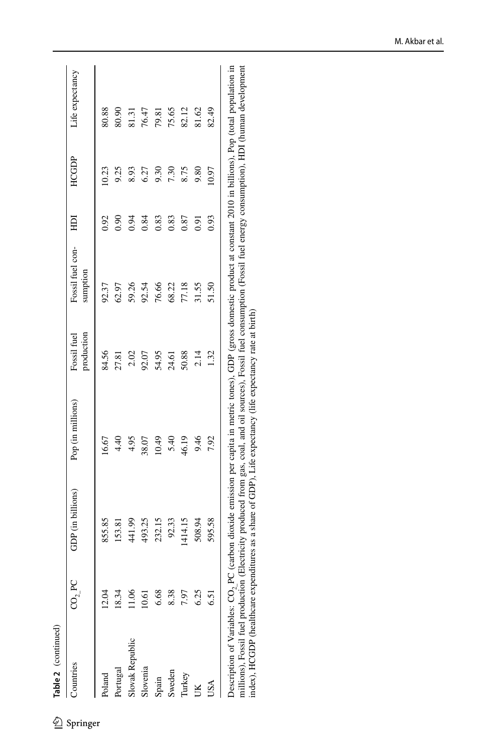| Table 2 (continued)              |                    |                                                                                                                                           |                   |                           |                              |      |       |                 |
|----------------------------------|--------------------|-------------------------------------------------------------------------------------------------------------------------------------------|-------------------|---------------------------|------------------------------|------|-------|-----------------|
| Countries                        | CO <sub>2</sub> PC | GDP (in billions)                                                                                                                         | Pop (in millions) | production<br>Fossil fuel | Fossil fuel con-<br>sumption | H    | HCGDP | Life expectancy |
| Poland                           | 12.04              | 855.85                                                                                                                                    | 16.67             | 84.56                     | 92.37                        | 0.92 | 10.23 | 80.88           |
| Portugal                         | 18.34              | 153.81                                                                                                                                    | 4.40              | 27.81                     | 62.97                        | 0.90 | 9.25  | 80.90           |
| Slovak Republic                  | 1.06               | 441.99                                                                                                                                    | 4.95              | 2.02                      | 59.26                        | 0.94 | 8.93  | 81.31           |
| Slovenia                         | 10.61              | 493.25                                                                                                                                    | 38.07<br>10.49    |                           | 92.54                        | 0.84 | 6.27  | 76.47           |
| Spain                            | 6.68               | 232.15                                                                                                                                    |                   | 92.07<br>54.95<br>24.61   | 76.66                        | 0.83 | 9.30  | 79.81           |
| Sweden                           | 8.38               | 92.33                                                                                                                                     | 5.40              |                           | 68.22                        | 0.83 | 7.30  | 75.65           |
| Turkey                           | 7.97               | 1414.15                                                                                                                                   | 46.19             | 50.88                     | 77.18                        | 0.87 | 8.75  | 82.12           |
|                                  | 6.25               | 508.94                                                                                                                                    | 9.46              | 2.14                      | 31.55                        | 0.91 | 9.80  | 81.62           |
|                                  | 6.51               | 595.58                                                                                                                                    | 7.92              | 1.32                      | 51.50                        | 0.93 | 10.97 | 82.49           |
| Description of Variables: CO, PC |                    | (carbon dioxide emission per capita in metric tones), GDP (gross domestic product at constant 2010 in billions), Pop (total population in |                   |                           |                              |      |       |                 |

Description or variables. Co<sub>2</sub> FC (carbon unoxue entisson per capita in interit cones), ODF (gross conteste produce at constant 2010 in Dillions), Fogsil fuel production (Electricity produced from gas, coal, and oil sourc Description of Variables: CO2\_PC (carbon dioxide emission per capita in metric tones), GDP (gross domestic product at constant 2010 in billions), Pop (total population in millions), Fossil fuel production (Electricity produced from gas, coal, and oil sources), Fossil fuel consumption (Fossil fuel energy consumption), HDI (human development index), HCGDP (healthcare expenditures as a share of GDP), Life expectancy (life expectancy rate at birth)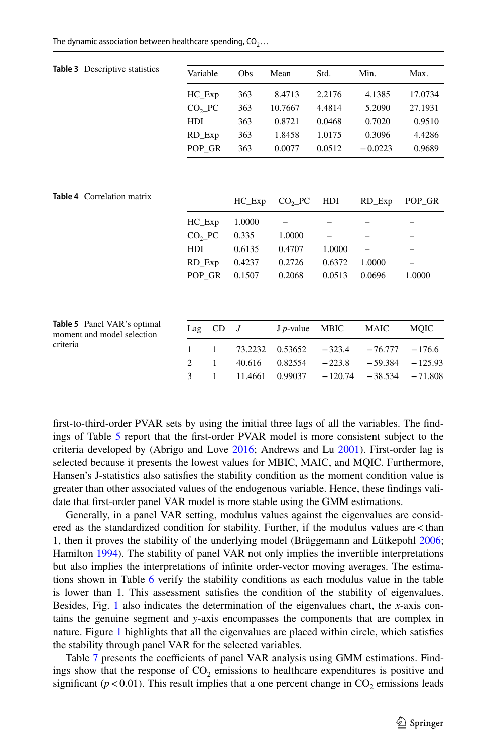|  |  |  |  |  |  | The dynamic association between healthcare spending, $CO_2$ |  |  |  |  |
|--|--|--|--|--|--|-------------------------------------------------------------|--|--|--|--|
|--|--|--|--|--|--|-------------------------------------------------------------|--|--|--|--|

<span id="page-10-1"></span><span id="page-10-0"></span>

| Table 3 Descriptive statistics                            | Variable       |    | Obs            | Mean                | Std.        | Min.        | Max.        |
|-----------------------------------------------------------|----------------|----|----------------|---------------------|-------------|-------------|-------------|
|                                                           | $HC$ $Exp$     |    | 363            | 8.4713              | 2.2176      | 4.1385      | 17.0734     |
|                                                           | $CO2$ PC       |    | 363            | 10.7667             | 4.4814      | 5.2090      | 27.1931     |
|                                                           | HDI            |    | 363            | 0.8721              | 0.0468      | 0.7020      | 0.9510      |
|                                                           | RD_Exp         |    | 363            | 1.8458              | 1.0175      | 0.3096      | 4.4286      |
|                                                           | POP GR         |    | 363            | 0.0077              | 0.0512      | $-0.0223$   | 0.9689      |
|                                                           |                |    |                |                     |             |             |             |
| Table 4 Correlation matrix                                |                |    | $HC$ $Exp$     | $CO2$ $PC$          | HDI         | RD_Exp      | POP_GR      |
|                                                           | $HC$ $Exp$     |    | 1.0000         |                     |             |             |             |
|                                                           | $CO2$ $PC$     |    | 0.335          | 1.0000              |             |             |             |
|                                                           | HDI            |    | 0.6135         | 0.4707              | 1.0000      |             |             |
|                                                           | RD_Exp         |    | 0.4237         | 0.2726              | 0.6372      | 1.0000      |             |
|                                                           | POP_GR         |    | 0.1507         | 0.2068              | 0.0513      | 0.0696      | 1.0000      |
|                                                           |                |    |                |                     |             |             |             |
| Table 5 Panel VAR's optimal<br>moment and model selection | Lag            | CD | $\overline{J}$ | $J$ <i>p</i> -value | <b>MBIC</b> | <b>MAIC</b> | <b>MQIC</b> |
| criteria                                                  | 1              | 1  | 73.2232        | 0.53652             | $-323.4$    | $-76.777$   | $-176.6$    |
|                                                           | $\overline{2}$ | 1  | 40.616         | 0.82554             | $-223.8$    | $-59.384$   | $-125.93$   |
|                                                           | 3              | 1  | 11.4661        | 0.99037             | $-120.74$   | $-38.534$   | $-71.808$   |
|                                                           |                |    |                |                     |             |             |             |

<span id="page-10-2"></span>frst-to-third-order PVAR sets by using the initial three lags of all the variables. The fndings of Table [5](#page-10-2) report that the frst-order PVAR model is more consistent subject to the criteria developed by (Abrigo and Love [2016;](#page-16-19) Andrews and Lu [2001](#page-16-20)). First-order lag is selected because it presents the lowest values for MBIC, MAIC, and MQIC. Furthermore, Hansen's J-statistics also satisfes the stability condition as the moment condition value is greater than other associated values of the endogenous variable. Hence, these fndings validate that frst-order panel VAR model is more stable using the GMM estimations.

Generally, in a panel VAR setting, modulus values against the eigenvalues are considered as the standardized condition for stability. Further, if the modulus values are<than 1, then it proves the stability of the underlying model (Brüggemann and Lütkepohl [2006;](#page-17-24) Hamilton [1994](#page-17-25)). The stability of panel VAR not only implies the invertible interpretations but also implies the interpretations of infnite order-vector moving averages. The estimations shown in Table [6](#page-11-0) verify the stability conditions as each modulus value in the table is lower than 1. This assessment satisfes the condition of the stability of eigenvalues. Besides, Fig. [1](#page-11-1) also indicates the determination of the eigenvalues chart, the *x*-axis contains the genuine segment and *y*-axis encompasses the components that are complex in nature. Figure [1](#page-11-1) highlights that all the eigenvalues are placed within circle, which satisfes the stability through panel VAR for the selected variables.

Table [7](#page-11-2) presents the coefficients of panel VAR analysis using GMM estimations. Findings show that the response of  $CO<sub>2</sub>$  emissions to healthcare expenditures is positive and significant ( $p$ <0.01). This result implies that a one percent change in  $CO_2$  emissions leads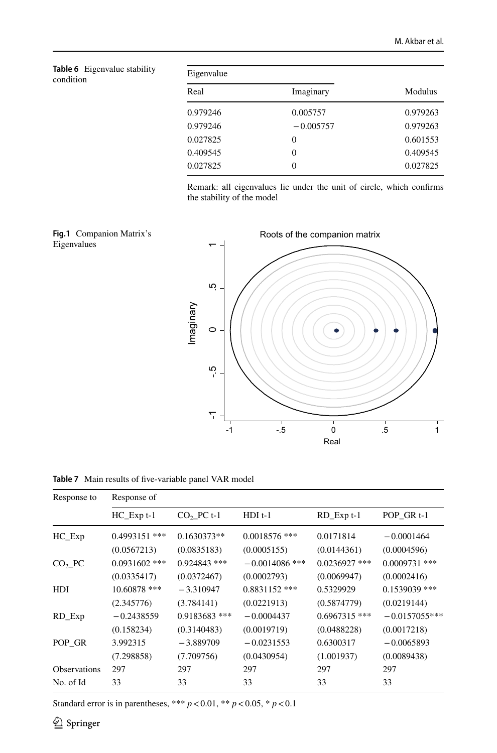<span id="page-11-0"></span>

|           | Table 6 Eigenvalue stability |
|-----------|------------------------------|
| condition |                              |

| Eigenvalue |             |          |
|------------|-------------|----------|
| Real       | Imaginary   | Modulus  |
| 0.979246   | 0.005757    | 0.979263 |
| 0.979246   | $-0.005757$ | 0.979263 |
| 0.027825   | 0           | 0.601553 |
| 0.409545   | 0           | 0.409545 |
| 0.027825   | 0           | 0.027825 |

Remark: all eigenvalues lie under the unit of circle, which confrms the stability of the model

<span id="page-11-1"></span>



<span id="page-11-2"></span>**Table 7** Main results of fve-variable panel VAR model

| Response to         | Response of     |                 |                  |                 |                       |
|---------------------|-----------------|-----------------|------------------|-----------------|-----------------------|
|                     | $HC$ Exp $t-1$  | $CO2$ PC t-1    | $HDI$ t-1        | RD_Exp t-1      | POP GR <sub>t-1</sub> |
| $HC$ $Exp$          | 0.4993151 ***   | $0.1630373**$   | $0.0018576$ ***  | 0.0171814       | $-0.0001464$          |
|                     | (0.0567213)     | (0.0835183)     | (0.0005155)      | (0.0144361)     | (0.0004596)           |
| $CO2$ PC            | $0.0931602$ *** | $0.924843$ ***  | $-0.0014086$ *** | $0.0236927$ *** | $0.0009731$ ***       |
|                     | (0.0335417)     | (0.0372467)     | (0.0002793)      | (0.0069947)     | (0.0002416)           |
| HDI                 | 10.60878 ***    | $-3.310947$     | $0.8831152$ ***  | 0.5329929       | $0.1539039$ ***       |
|                     | (2.345776)      | (3.784141)      | (0.0221913)      | (0.5874779)     | (0.0219144)           |
| RD_Exp              | $-0.2438559$    | $0.9183683$ *** | $-0.0004437$     | $0.6967315$ *** | $-0.0157055***$       |
|                     | (0.158234)      | (0.3140483)     | (0.0019719)      | (0.0488228)     | (0.0017218)           |
| POP GR              | 3.992315        | $-3.889709$     | $-0.0231553$     | 0.6300317       | $-0.0065893$          |
|                     | (7.298858)      | (7.709756)      | (0.0430954)      | (1.001937)      | (0.0089438)           |
| <b>Observations</b> | 297             | 297             | 297              | 297             | 297                   |
| No. of Id           | 33              | 33              | 33               | 33              | 33                    |

Standard error is in parentheses, \*\*\*  $p < 0.01$ , \*\*  $p < 0.05$ , \*  $p < 0.1$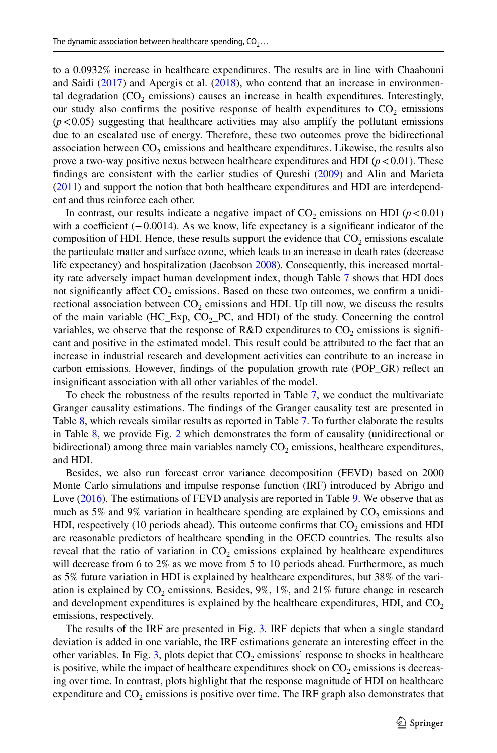to a 0.0932% increase in healthcare expenditures. The results are in line with Chaabouni and Saidi [\(2017](#page-17-0)) and Apergis et al. ([2018\)](#page-16-2), who contend that an increase in environmental degradation  $(CO<sub>2</sub>$  emissions) causes an increase in health expenditures. Interestingly, our study also confirms the positive response of health expenditures to  $CO<sub>2</sub>$  emissions  $(p<0.05)$  suggesting that healthcare activities may also amplify the pollutant emissions due to an escalated use of energy. Therefore, these two outcomes prove the bidirectional association between  $CO<sub>2</sub>$  emissions and healthcare expenditures. Likewise, the results also prove a two-way positive nexus between healthcare expenditures and HDI ( $p < 0.01$ ). These fndings are consistent with the earlier studies of Qureshi [\(2009](#page-18-1)) and Alin and Marieta ([2011\)](#page-16-9) and support the notion that both healthcare expenditures and HDI are interdependent and thus reinforce each other.

In contrast, our results indicate a negative impact of  $CO<sub>2</sub>$  emissions on HDI ( $p < 0.01$ ) with a coefficient  $(-0.0014)$ . As we know, life expectancy is a significant indicator of the composition of HDI. Hence, these results support the evidence that  $CO<sub>2</sub>$  emissions escalate the particulate matter and surface ozone, which leads to an increase in death rates (decrease life expectancy) and hospitalization (Jacobson [2008\)](#page-17-6). Consequently, this increased mortality rate adversely impact human development index, though Table [7](#page-11-2) shows that HDI does not significantly affect  $CO<sub>2</sub>$  emissions. Based on these two outcomes, we confirm a unidirectional association between  $CO<sub>2</sub>$  emissions and HDI. Up till now, we discuss the results of the main variable  $(HC_{Exp}, CO_{2}PC, and HDI)$  of the study. Concerning the control variables, we observe that the response of R&D expenditures to  $CO<sub>2</sub>$  emissions is significant and positive in the estimated model. This result could be attributed to the fact that an increase in industrial research and development activities can contribute to an increase in carbon emissions. However, fndings of the population growth rate (POP\_GR) refect an insignifcant association with all other variables of the model.

To check the robustness of the results reported in Table [7](#page-11-2), we conduct the multivariate Granger causality estimations. The fndings of the Granger causality test are presented in Table [8](#page-13-0), which reveals similar results as reported in Table [7](#page-11-2). To further elaborate the results in Table [8](#page-13-0), we provide Fig. [2](#page-13-1) which demonstrates the form of causality (unidirectional or bidirectional) among three main variables namely  $CO<sub>2</sub>$  emissions, healthcare expenditures, and HDI.

Besides, we also run forecast error variance decomposition (FEVD) based on 2000 Monte Carlo simulations and impulse response function (IRF) introduced by Abrigo and Love [\(2016](#page-16-19)). The estimations of FEVD analysis are reported in Table [9.](#page-14-0) We observe that as much as 5% and 9% variation in healthcare spending are explained by  $CO<sub>2</sub>$  emissions and HDI, respectively (10 periods ahead). This outcome confirms that  $CO<sub>2</sub>$  emissions and HDI are reasonable predictors of healthcare spending in the OECD countries. The results also reveal that the ratio of variation in  $CO<sub>2</sub>$  emissions explained by healthcare expenditures will decrease from 6 to 2% as we move from 5 to 10 periods ahead. Furthermore, as much as 5% future variation in HDI is explained by healthcare expenditures, but 38% of the variation is explained by  $CO_2$  emissions. Besides, 9%, 1%, and 21% future change in research and development expenditures is explained by the healthcare expenditures, HDI, and  $CO<sub>2</sub>$ emissions, respectively.

The results of the IRF are presented in Fig. [3.](#page-14-1) IRF depicts that when a single standard deviation is added in one variable, the IRF estimations generate an interesting efect in the other variables. In Fig. [3](#page-14-1), plots depict that  $CO<sub>2</sub>$  emissions' response to shocks in healthcare is positive, while the impact of healthcare expenditures shock on  $CO<sub>2</sub>$  emissions is decreasing over time. In contrast, plots highlight that the response magnitude of HDI on healthcare expenditure and  $CO<sub>2</sub>$  emissions is positive over time. The IRF graph also demonstrates that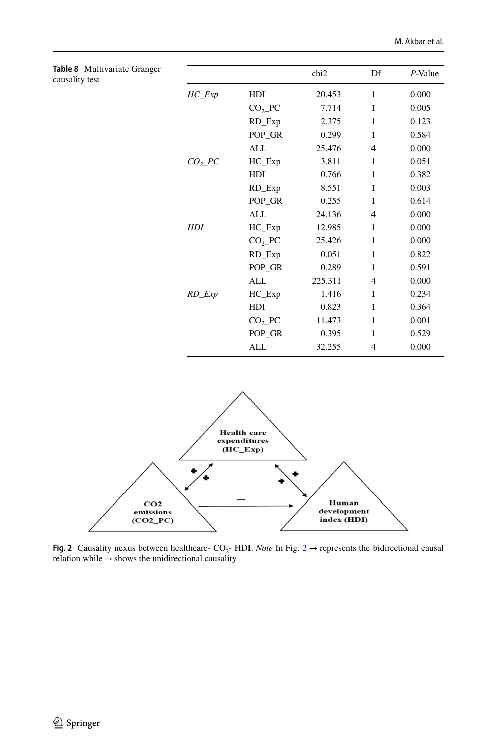<span id="page-13-0"></span>

| Table 8 Multivariate Granger<br>causality test |                                      |            | chi <sub>2</sub> | Df             | $P$ -Value |
|------------------------------------------------|--------------------------------------|------------|------------------|----------------|------------|
|                                                | $HC$ <sub><math>-</math></sub> $Exp$ | HDI        | 20.453           | 1              | 0.000      |
|                                                |                                      | $CO2$ PC   | 7.714            | 1              | 0.005      |
|                                                |                                      | RD_Exp     | 2.375            | 1              | 0.123      |
|                                                |                                      | POP_GR     | 0.299            | $\mathbf{1}$   | 0.584      |
|                                                |                                      | ALL        | 25.476           | $\overline{4}$ | 0.000      |
|                                                | CO <sub>2</sub> PC                   | $HC$ $Exp$ | 3.811            | 1              | 0.051      |
|                                                |                                      | HDI        | 0.766            | $\mathbf{1}$   | 0.382      |
|                                                |                                      | RD_Exp     | 8.551            | 1              | 0.003      |
|                                                |                                      | POP_GR     | 0.255            | 1              | 0.614      |
|                                                |                                      | ALL        | 24.136           | $\overline{4}$ | 0.000      |
|                                                | <b>HDI</b>                           | $HC$ $Exp$ | 12.985           | 1              | 0.000      |
|                                                |                                      | $CO2$ PC   | 25.426           | $\mathbf{1}$   | 0.000      |
|                                                |                                      | RD_Exp     | 0.051            | 1              | 0.822      |
|                                                |                                      | POP_GR     | 0.289            | 1              | 0.591      |
|                                                |                                      | ALL        | 225.311          | $\overline{4}$ | 0.000      |
|                                                | $RD$ _ $Exp$                         | $HC$ $Exp$ | 1.416            | 1              | 0.234      |
|                                                |                                      | HDI        | 0.823            | 1              | 0.364      |
|                                                |                                      | $CO2$ PC   | 11.473           | 1              | 0.001      |
|                                                |                                      | POP_GR     | 0.395            | 1              | 0.529      |
|                                                |                                      | ALL        | 32.255           | $\overline{4}$ | 0.000      |



<span id="page-13-1"></span>**Fig. [2](#page-13-1)** Causality nexus between healthcare-  $CO_2$ - HDI. *Note* In Fig. 2  $\leftrightarrow$  represents the bidirectional causal relation while  $\rightarrow$  shows the unidirectional causality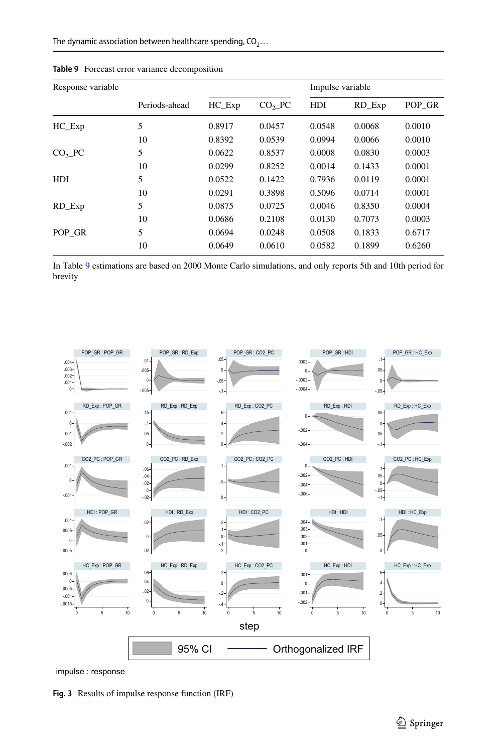| Response variable |               |        |          | Impulse variable |        |        |
|-------------------|---------------|--------|----------|------------------|--------|--------|
|                   | Periods-ahead | HC Exp | $CO2$ PC | HDI              | RD Exp | POP GR |
| $HC$ $Exp$        | 5             | 0.8917 | 0.0457   | 0.0548           | 0.0068 | 0.0010 |
|                   | 10            | 0.8392 | 0.0539   | 0.0994           | 0.0066 | 0.0010 |
| $CO2$ PC          | 5             | 0.0622 | 0.8537   | 0.0008           | 0.0830 | 0.0003 |
|                   | 10            | 0.0299 | 0.8252   | 0.0014           | 0.1433 | 0.0001 |
| <b>HDI</b>        | 5             | 0.0522 | 0.1422   | 0.7936           | 0.0119 | 0.0001 |
|                   | 10            | 0.0291 | 0.3898   | 0.5096           | 0.0714 | 0.0001 |
| RD_Exp            | 5             | 0.0875 | 0.0725   | 0.0046           | 0.8350 | 0.0004 |
|                   | 10            | 0.0686 | 0.2108   | 0.0130           | 0.7073 | 0.0003 |
| POP GR            | 5             | 0.0694 | 0.0248   | 0.0508           | 0.1833 | 0.6717 |
|                   | 10            | 0.0649 | 0.0610   | 0.0582           | 0.1899 | 0.6260 |

<span id="page-14-0"></span>**Table 9** Forecast error variance decomposition

In Table [9](#page-14-0) estimations are based on 2000 Monte Carlo simulations, and only reports 5th and 10th period for brevity



impulse : response

<span id="page-14-1"></span>**Fig. 3** Results of impulse response function (IRF)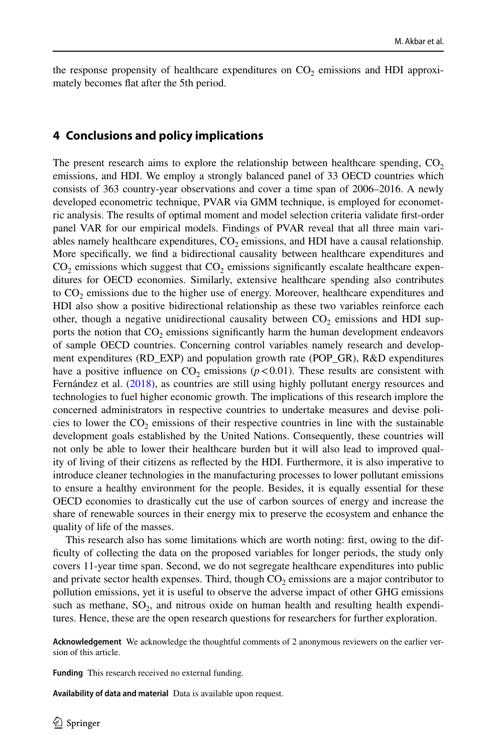the response propensity of healthcare expenditures on  $CO<sub>2</sub>$  emissions and HDI approximately becomes fat after the 5th period.

#### **4 Conclusions and policy implications**

The present research aims to explore the relationship between healthcare spending,  $CO<sub>2</sub>$ emissions, and HDI. We employ a strongly balanced panel of 33 OECD countries which consists of 363 country-year observations and cover a time span of 2006–2016. A newly developed econometric technique, PVAR via GMM technique, is employed for econometric analysis. The results of optimal moment and model selection criteria validate frst-order panel VAR for our empirical models. Findings of PVAR reveal that all three main variables namely healthcare expenditures,  $CO<sub>2</sub>$  emissions, and HDI have a causal relationship. More specifcally, we fnd a bidirectional causality between healthcare expenditures and  $CO<sub>2</sub>$  emissions which suggest that  $CO<sub>2</sub>$  emissions significantly escalate healthcare expenditures for OECD economies. Similarly, extensive healthcare spending also contributes to  $CO<sub>2</sub>$  emissions due to the higher use of energy. Moreover, healthcare expenditures and HDI also show a positive bidirectional relationship as these two variables reinforce each other, though a negative unidirectional causality between  $CO<sub>2</sub>$  emissions and HDI supports the notion that  $CO<sub>2</sub>$  emissions significantly harm the human development endeavors of sample OECD countries. Concerning control variables namely research and development expenditures (RD\_EXP) and population growth rate (POP\_GR), R&D expenditures have a positive influence on  $CO_2$  emissions ( $p < 0.01$ ). These results are consistent with Fernández et al. ([2018\)](#page-17-26), as countries are still using highly pollutant energy resources and technologies to fuel higher economic growth. The implications of this research implore the concerned administrators in respective countries to undertake measures and devise policies to lower the  $CO<sub>2</sub>$  emissions of their respective countries in line with the sustainable development goals established by the United Nations. Consequently, these countries will not only be able to lower their healthcare burden but it will also lead to improved quality of living of their citizens as refected by the HDI. Furthermore, it is also imperative to introduce cleaner technologies in the manufacturing processes to lower pollutant emissions to ensure a healthy environment for the people. Besides, it is equally essential for these OECD economies to drastically cut the use of carbon sources of energy and increase the share of renewable sources in their energy mix to preserve the ecosystem and enhance the quality of life of the masses.

This research also has some limitations which are worth noting: frst, owing to the diffculty of collecting the data on the proposed variables for longer periods, the study only covers 11-year time span. Second, we do not segregate healthcare expenditures into public and private sector health expenses. Third, though  $CO<sub>2</sub>$  emissions are a major contributor to pollution emissions, yet it is useful to observe the adverse impact of other GHG emissions such as methane,  $SO_2$ , and nitrous oxide on human health and resulting health expenditures. Hence, these are the open research questions for researchers for further exploration.

**Acknowledgement** We acknowledge the thoughtful comments of 2 anonymous reviewers on the earlier version of this article.

**Funding** This research received no external funding.

**Availability of data and material** Data is available upon request.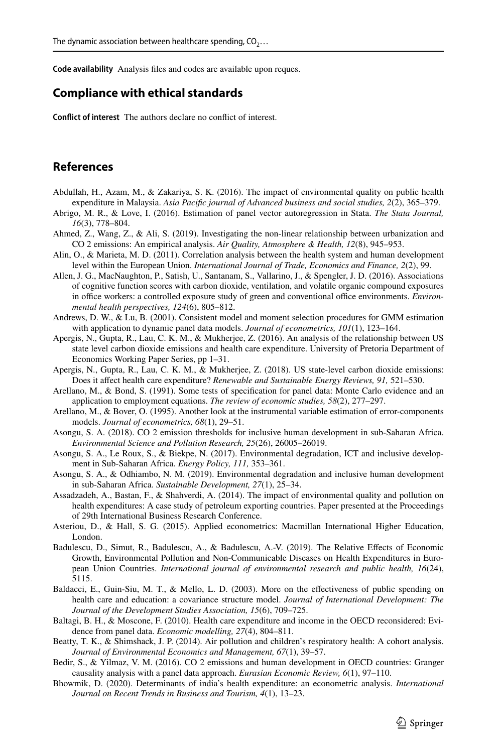**Code availability** Analysis fles and codes are available upon reques.

#### **Compliance with ethical standards**

**Confict of interest** The authors declare no confict of interest.

### **References**

- <span id="page-16-4"></span>Abdullah, H., Azam, M., & Zakariya, S. K. (2016). The impact of environmental quality on public health expenditure in Malaysia. *Asia Pacifc journal of Advanced business and social studies, 2*(2), 365–379.
- <span id="page-16-19"></span>Abrigo, M. R., & Love, I. (2016). Estimation of panel vector autoregression in Stata. *The Stata Journal, 16*(3), 778–804.
- <span id="page-16-1"></span>Ahmed, Z., Wang, Z., & Ali, S. (2019). Investigating the non-linear relationship between urbanization and CO 2 emissions: An empirical analysis. *Air Quality, Atmosphere & Health, 12*(8), 945–953.
- <span id="page-16-9"></span>Alin, O., & Marieta, M. D. (2011). Correlation analysis between the health system and human development level within the European Union. *International Journal of Trade, Economics and Finance, 2*(2), 99.
- <span id="page-16-3"></span>Allen, J. G., MacNaughton, P., Satish, U., Santanam, S., Vallarino, J., & Spengler, J. D. (2016). Associations of cognitive function scores with carbon dioxide, ventilation, and volatile organic compound exposures in office workers: a controlled exposure study of green and conventional office environments. *Environmental health perspectives, 124*(6), 805–812.
- <span id="page-16-20"></span>Andrews, D. W., & Lu, B. (2001). Consistent model and moment selection procedures for GMM estimation with application to dynamic panel data models. *Journal of econometrics, 101*(1), 123–164.
- <span id="page-16-14"></span>Apergis, N., Gupta, R., Lau, C. K. M., & Mukherjee, Z. (2016). An analysis of the relationship between US state level carbon dioxide emissions and health care expenditure. University of Pretoria Department of Economics Working Paper Series, pp 1–31.
- <span id="page-16-2"></span>Apergis, N., Gupta, R., Lau, C. K. M., & Mukherjee, Z. (2018). US state-level carbon dioxide emissions: Does it afect health care expenditure? *Renewable and Sustainable Energy Reviews, 91,* 521–530.
- <span id="page-16-16"></span>Arellano, M., & Bond, S. (1991). Some tests of specifcation for panel data: Monte Carlo evidence and an application to employment equations. *The review of economic studies, 58*(2), 277–297.
- <span id="page-16-17"></span>Arellano, M., & Bover, O. (1995). Another look at the instrumental variable estimation of error-components models. *Journal of econometrics, 68*(1), 29–51.
- <span id="page-16-13"></span>Asongu, S. A. (2018). CO 2 emission thresholds for inclusive human development in sub-Saharan Africa. *Environmental Science and Pollution Research, 25*(26), 26005–26019.
- <span id="page-16-11"></span>Asongu, S. A., Le Roux, S., & Biekpe, N. (2017). Environmental degradation, ICT and inclusive development in Sub-Saharan Africa. *Energy Policy, 111,* 353–361.
- <span id="page-16-10"></span>Asongu, S. A., & Odhiambo, N. M. (2019). Environmental degradation and inclusive human development in sub-Saharan Africa. *Sustainable Development, 27*(1), 25–34.
- <span id="page-16-5"></span>Assadzadeh, A., Bastan, F., & Shahverdi, A. (2014). The impact of environmental quality and pollution on health expenditures: A case study of petroleum exporting countries. Paper presented at the Proceedings of 29th International Business Research Conference.
- <span id="page-16-18"></span>Asteriou, D., & Hall, S. G. (2015). Applied econometrics: Macmillan International Higher Education, London.
- <span id="page-16-6"></span>Badulescu, D., Simut, R., Badulescu, A., & Badulescu, A.-V. (2019). The Relative Efects of Economic Growth, Environmental Pollution and Non-Communicable Diseases on Health Expenditures in European Union Countries. *International journal of environmental research and public health, 16*(24), 5115.
- <span id="page-16-8"></span>Baldacci, E., Guin-Siu, M. T., & Mello, L. D. (2003). More on the efectiveness of public spending on health care and education: a covariance structure model. *Journal of International Development: The Journal of the Development Studies Association, 15*(6), 709–725.
- <span id="page-16-0"></span>Baltagi, B. H., & Moscone, F. (2010). Health care expenditure and income in the OECD reconsidered: Evidence from panel data. *Economic modelling, 27*(4), 804–811.
- <span id="page-16-15"></span>Beatty, T. K., & Shimshack, J. P. (2014). Air pollution and children's respiratory health: A cohort analysis. *Journal of Environmental Economics and Management, 67*(1), 39–57.
- <span id="page-16-12"></span>Bedir, S., & Yilmaz, V. M. (2016). CO 2 emissions and human development in OECD countries: Granger causality analysis with a panel data approach. *Eurasian Economic Review, 6*(1), 97–110.
- <span id="page-16-7"></span>Bhowmik, D. (2020). Determinants of india's health expenditure: an econometric analysis. *International Journal on Recent Trends in Business and Tourism, 4*(1), 13–23.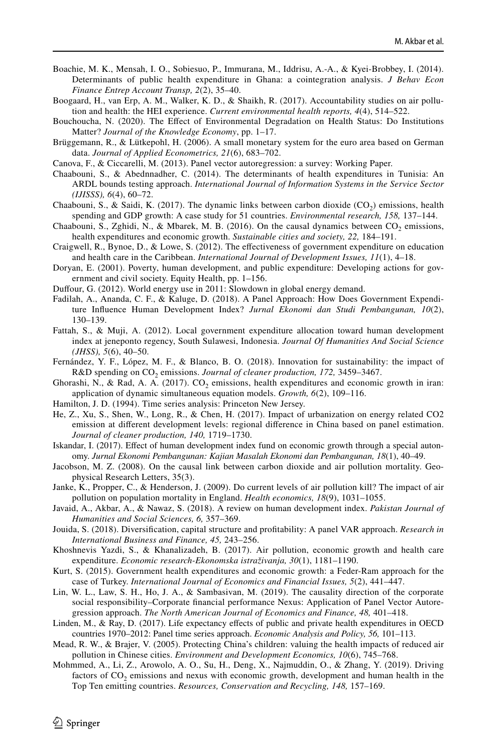- <span id="page-17-7"></span>Boachie, M. K., Mensah, I. O., Sobiesuo, P., Immurana, M., Iddrisu, A.-A., & Kyei-Brobbey, I. (2014). Determinants of public health expenditure in Ghana: a cointegration analysis. *J Behav Econ Finance Entrep Account Transp, 2*(2), 35–40.
- <span id="page-17-11"></span>Boogaard, H., van Erp, A. M., Walker, K. D., & Shaikh, R. (2017). Accountability studies on air pollution and health: the HEI experience. *Current environmental health reports, 4*(4), 514–522.
- <span id="page-17-15"></span>Bouchoucha, N. (2020). The Efect of Environmental Degradation on Health Status: Do Institutions Matter? *Journal of the Knowledge Economy*, pp. 1–17.
- <span id="page-17-24"></span>Brüggemann, R., & Lütkepohl, H. (2006). A small monetary system for the euro area based on German data. *Journal of Applied Econometrics, 21*(6), 683–702.
- <span id="page-17-21"></span>Canova, F., & Ciccarelli, M. (2013). Panel vector autoregression: a survey: Working Paper.
- <span id="page-17-13"></span>Chaabouni, S., & Abednnadher, C. (2014). The determinants of health expenditures in Tunisia: An ARDL bounds testing approach. *International Journal of Information Systems in the Service Sector (IJISSS), 6*(4), 60–72.
- <span id="page-17-0"></span>Chaabouni, S., & Saidi, K. (2017). The dynamic links between carbon dioxide  $(CO<sub>2</sub>)$  emissions, health spending and GDP growth: A case study for 51 countries. *Environmental research, 158,* 137–144.
- <span id="page-17-17"></span>Chaabouni, S., Zghidi, N., & Mbarek, M. B. (2016). On the causal dynamics between  $CO_2$  emissions, health expenditures and economic growth. *Sustainable cities and society, 22,* 184–191.
- <span id="page-17-10"></span>Craigwell, R., Bynoe, D., & Lowe, S. (2012). The efectiveness of government expenditure on education and health care in the Caribbean. *International Journal of Development Issues, 11*(1), 4–18.
- <span id="page-17-3"></span>Doryan, E. (2001). Poverty, human development, and public expenditure: Developing actions for government and civil society. Equity Health, pp. 1–156.
- <span id="page-17-22"></span>Dufour, G. (2012). World energy use in 2011: Slowdown in global energy demand.
- <span id="page-17-1"></span>Fadilah, A., Ananda, C. F., & Kaluge, D. (2018). A Panel Approach: How Does Government Expenditure Infuence Human Development Index? *Jurnal Ekonomi dan Studi Pembangunan, 10*(2), 130–139.
- <span id="page-17-9"></span>Fattah, S., & Muji, A. (2012). Local government expenditure allocation toward human development index at jeneponto regency, South Sulawesi, Indonesia. *Journal Of Humanities And Social Science (JHSS), 5*(6), 40–50.
- <span id="page-17-26"></span>Fernández, Y. F., López, M. F., & Blanco, B. O. (2018). Innovation for sustainability: the impact of R&D spending on CO<sub>2</sub> emissions. *Journal of cleaner production,* 172, 3459–3467.
- <span id="page-17-18"></span>Ghorashi, N., & Rad, A. A. (2017). CO<sub>2</sub> emissions, health expenditures and economic growth in iran: application of dynamic simultaneous equation models. *Growth, 6*(2), 109–116.
- <span id="page-17-25"></span>Hamilton, J. D. (1994). Time series analysis: Princeton New Jersey.
- <span id="page-17-14"></span>He, Z., Xu, S., Shen, W., Long, R., & Chen, H. (2017). Impact of urbanization on energy related CO2 emission at diferent development levels: regional diference in China based on panel estimation. *Journal of cleaner production, 140,* 1719–1730.
- <span id="page-17-8"></span>Iskandar, I. (2017). Efect of human development index fund on economic growth through a special autonomy. *Jurnal Ekonomi Pembangunan: Kajian Masalah Ekonomi dan Pembangunan, 18*(1), 40–49.
- <span id="page-17-6"></span>Jacobson, M. Z. (2008). On the causal link between carbon dioxide and air pollution mortality. Geophysical Research Letters, 35(3).
- Janke, K., Propper, C., & Henderson, J. (2009). Do current levels of air pollution kill? The impact of air pollution on population mortality in England. *Health economics, 18*(9), 1031–1055.
- <span id="page-17-4"></span>Javaid, A., Akbar, A., & Nawaz, S. (2018). A review on human development index. *Pakistan Journal of Humanities and Social Sciences, 6,* 357–369.
- <span id="page-17-20"></span>Jouida, S. (2018). Diversifcation, capital structure and proftability: A panel VAR approach. *Research in International Business and Finance, 45,* 243–256.
- <span id="page-17-16"></span>Khoshnevis Yazdi, S., & Khanalizadeh, B. (2017). Air pollution, economic growth and health care expenditure. *Economic research-Ekonomska istraživanja, 30*(1), 1181–1190.
- <span id="page-17-2"></span>Kurt, S. (2015). Government health expenditures and economic growth: a Feder-Ram approach for the case of Turkey. *International Journal of Economics and Financial Issues, 5*(2), 441–447.
- <span id="page-17-19"></span>Lin, W. L., Law, S. H., Ho, J. A., & Sambasivan, M. (2019). The causality direction of the corporate social responsibility–Corporate fnancial performance Nexus: Application of Panel Vector Autoregression approach. *The North American Journal of Economics and Finance, 48,* 401–418.
- <span id="page-17-23"></span>Linden, M., & Ray, D. (2017). Life expectancy efects of public and private health expenditures in OECD countries 1970–2012: Panel time series approach. *Economic Analysis and Policy, 56,* 101–113.
- <span id="page-17-5"></span>Mead, R. W., & Brajer, V. (2005). Protecting China's children: valuing the health impacts of reduced air pollution in Chinese cities. *Environment and Development Economics, 10*(6), 745–768.
- <span id="page-17-12"></span>Mohmmed, A., Li, Z., Arowolo, A. O., Su, H., Deng, X., Najmuddin, O., & Zhang, Y. (2019). Driving factors of  $CO<sub>2</sub>$  emissions and nexus with economic growth, development and human health in the Top Ten emitting countries. *Resources, Conservation and Recycling, 148,* 157–169.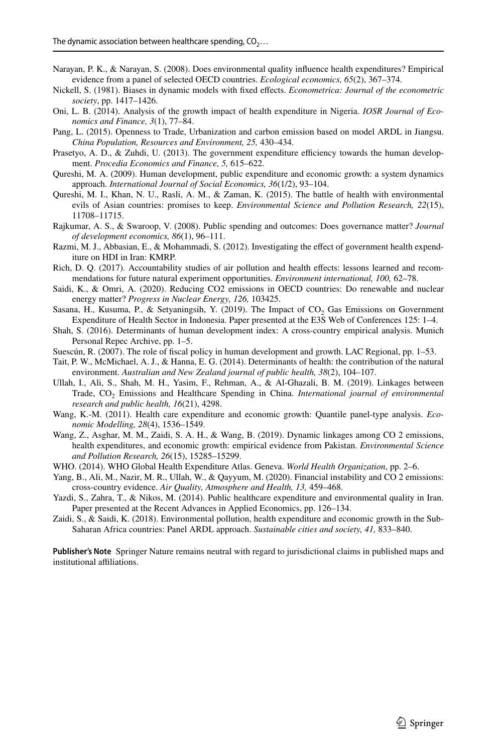- <span id="page-18-7"></span>Narayan, P. K., & Narayan, S. (2008). Does environmental quality infuence health expenditures? Empirical evidence from a panel of selected OECD countries. *Ecological economics, 65*(2), 367–374.
- <span id="page-18-18"></span>Nickell, S. (1981). Biases in dynamic models with fxed efects. *Econometrica: Journal of the econometric society*, pp. 1417–1426.
- <span id="page-18-2"></span>Oni, L. B. (2014). Analysis of the growth impact of health expenditure in Nigeria. *IOSR Journal of Economics and Finance, 3*(1), 77–84.
- <span id="page-18-4"></span>Pang, L. (2015). Openness to Trade, Urbanization and carbon emission based on model ARDL in Jiangsu. *China Population, Resources and Environment, 25,* 430–434.
- <span id="page-18-0"></span>Prasetyo, A. D., & Zuhdi, U. (2013). The government expenditure efficiency towards the human development. *Procedia Economics and Finance, 5,* 615–622.
- <span id="page-18-1"></span>Qureshi, M. A. (2009). Human development, public expenditure and economic growth: a system dynamics approach. *International Journal of Social Economics, 36*(1/2), 93–104.
- <span id="page-18-15"></span>Qureshi, M. I., Khan, N. U., Rasli, A. M., & Zaman, K. (2015). The battle of health with environmental evils of Asian countries: promises to keep. *Environmental Science and Pollution Research, 22*(15), 11708–11715.
- <span id="page-18-11"></span>Rajkumar, A. S., & Swaroop, V. (2008). Public spending and outcomes: Does governance matter? *Journal of development economics, 86*(1), 96–111.
- <span id="page-18-10"></span>Razmi, M. J., Abbasian, E., & Mohammadi, S. (2012). Investigating the effect of government health expenditure on HDI in Iran: KMRP.
- <span id="page-18-12"></span>Rich, D. Q. (2017). Accountability studies of air pollution and health efects: lessons learned and recommendations for future natural experiment opportunities. *Environment international, 100,* 62–78.
- <span id="page-18-20"></span>Saidi, K., & Omri, A. (2020). Reducing CO2 emissions in OECD countries: Do renewable and nuclear energy matter? *Progress in Nuclear Energy, 126,* 103425.
- <span id="page-18-19"></span>Sasana, H., Kusuma, P., & Setyaningsih, Y. (2019). The Impact of  $CO<sub>2</sub>$  Gas Emissions on Government Expenditure of Health Sector in Indonesia. Paper presented at the E3S Web of Conferences 125: 1–4.
- <span id="page-18-13"></span>Shah, S. (2016). Determinants of human development index: A cross-country empirical analysis. Munich Personal Repec Archive, pp. 1–5.
- <span id="page-18-8"></span>Suescún, R. (2007). The role of fscal policy in human development and growth. LAC Regional, pp. 1–53.

<span id="page-18-9"></span>Tait, P. W., McMichael, A. J., & Hanna, E. G. (2014). Determinants of health: the contribution of the natural environment. *Australian and New Zealand journal of public health, 38*(2), 104–107.

- <span id="page-18-14"></span>Ullah, I., Ali, S., Shah, M. H., Yasim, F., Rehman, A., & Al-Ghazali, B. M. (2019). Linkages between Trade, CO<sub>2</sub> Emissions and Healthcare Spending in China. *International journal of environmental research and public health, 16*(21), 4298.
- <span id="page-18-3"></span>Wang, K.-M. (2011). Health care expenditure and economic growth: Quantile panel-type analysis. *Economic Modelling, 28*(4), 1536–1549.
- <span id="page-18-16"></span>Wang, Z., Asghar, M. M., Zaidi, S. A. H., & Wang, B. (2019). Dynamic linkages among CO 2 emissions, health expenditures, and economic growth: empirical evidence from Pakistan. *Environmental Science and Pollution Research, 26*(15), 15285–15299.
- <span id="page-18-21"></span>WHO. (2014). WHO Global Health Expenditure Atlas. Geneva. *World Health Organization*, pp. 2–6.
- <span id="page-18-5"></span>Yang, B., Ali, M., Nazir, M. R., Ullah, W., & Qayyum, M. (2020). Financial instability and CO 2 emissions: cross-country evidence. *Air Quality, Atmosphere and Health, 13,* 459–468.
- <span id="page-18-6"></span>Yazdi, S., Zahra, T., & Nikos, M. (2014). Public healthcare expenditure and environmental quality in Iran. Paper presented at the Recent Advances in Applied Economics, pp. 126–134.
- <span id="page-18-17"></span>Zaidi, S., & Saidi, K. (2018). Environmental pollution, health expenditure and economic growth in the Sub-Saharan Africa countries: Panel ARDL approach. *Sustainable cities and society, 41,* 833–840.

**Publisher's Note** Springer Nature remains neutral with regard to jurisdictional claims in published maps and institutional affiliations.